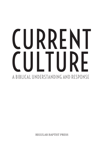# CURRENT CULTURE A BIBLICAL UNDERSTANDING AND RESPONSE

REGULAR BAPTIST PRESS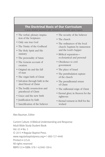#### The Doctrinal Basis of Our Curriculum A more detailed statement with references is available upon request.

- The verbal, plenary inspiration of the Scriptures
- Only one true God
- The Trinity of the Godhead
- The Holy Spirit and His ministry
- The personality of Satan
- The Genesis account of creation
- Original sin and the fall of man
- The virgin birth of Christ
- Salvation through faith in the shed blood of Christ
- The bodily resurrection and priesthood of Christ
- Grace and the new birth
- Justification by faith
- Sanctification of the believer
- The security of the believer
- The church
- The ordinances of the local church: baptism by immersion and the Lord's Supper
- Biblical separation ecclesiastical and personal
- Obedience to civil government
- The place of Israel
- The pretribulation rapture of the church
- The premillennial return of Christ
- The millennial reign of Christ
- Eternal glory in Heaven for the righteous
- Eternal torment in Hell for the wicked

#### Alex Bauman, Editor

Current Culture: A Biblical Understanding and Response Adult Bible Study Student Book Vol. 63 • No. 5 © 2015 • Regular Baptist Press www.regularbaptistpress.org • 1-800-727-4440 Printed in U.S.A. All rights reserved RBP0133 • ISBN: 978-1-62940-109-6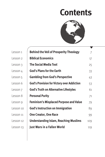# **Contents**



| <b>Behind the Veil of Prosperity Theology</b>     | $\overline{7}$ |
|---------------------------------------------------|----------------|
| <b>Biblical Economics</b>                         | 17             |
| <b>The Social Media Tool</b>                      | 25             |
| <b>God's Plans for the Earth</b>                  | 33             |
| <b>Gambling from God's Perspective</b>            | 43             |
| <b>God's Provision for Victory over Addiction</b> | 53             |
| <b>God's Truth on Alternative Lifestyles</b>      | 61             |
| <b>Personal Purity</b>                            | 71             |
| <b>Feminism's Misplaced Purpose and Value</b>     | 79             |
| <b>God's Instruction on Immigration</b>           | 89             |
| <b>One Creator, One Race</b>                      | 99             |
| <b>Understanding Islam, Reaching Muslims</b>      | 109            |
| Just Wars in a Fallen World                       | 119            |
|                                                   |                |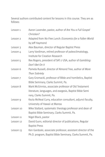Several authors contributed content for lessons in this course. They are as follows:

| Lesson 1            | Aaron Lavender, pastor, author of Are You a Full Gospel      |
|---------------------|--------------------------------------------------------------|
|                     | Christian?                                                   |
| Lesson 2            | Adapted from No Free Lunch: Economics for a Fallen World     |
|                     | by Jeff Haymond                                              |
| Lesson 3            | Alex Bauman, director of Regular Baptist Press               |
| Lesson 4            | Larry Vardiman, retired professor of paleoclimatology,       |
|                     | Institute for Creation Research                              |
| Lesson 5            | Rex Rogers, president of SAT-7 USA, author of Gambling:      |
|                     | Don't Bet On It                                              |
| Lesson 6            | Pamela Russell, director of Almond Tree, author of More      |
|                     | Than Sobriety                                                |
| Lesson <sub>7</sub> | Gary Gromacki, professor of Bible and homiletics, Baptist    |
|                     | Bible Seminary, Clarks Summit, Pa.                           |
| Lesson 8            | Mark McGinniss, associate professor of Old Testament         |
|                     | literature, languages, and exegesis, Baptist Bible Semi      |
|                     | nary, Clarks Summit, Pa.                                     |
| Lesson 9            | Kezia McNeal Curry, education consultant, adjunct faculty,   |
|                     | University of Hawaii at Manoa                                |
| Lesson 10           | Mike Stallard, systematic theology professor and dean of     |
|                     | Baptist Bible Seminary, Clarks Summit, Pa.                   |
| Lesson 11           | Nigel Black, pastor                                          |
| Lesson 12           | David Gunn, editorial director of publications, Regular      |
|                     | <b>Baptist Press</b>                                         |
| Lesson 13           | Ken Gardoski, associate professor, assistant director of the |
|                     | Ph.D. program, Baptist Bible Seminary, Clarks Summit, Pa.    |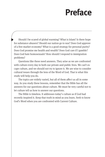# **Preface**

Should I be scared of global warming? What is Islam? Is there hope for substance abusers? Should our nation go to war? Does God approve of a free market economy? What is a good strategy for personal purity? Does God promise me health and wealth? Does God care if I gamble? Does God hate homosexuals? How should I respond to immigration problems?

Questions like these need answers. They arise as we are confronted with culture every day in both our private and public lives. We can't escape culture, and we should not try to ignore it. We are wise to consider cultural issues through the lens of the Word of God. That is what this study will help you do.

The topics are widely varied, but all of them affect us all in some way. As you study these lessons, remember that the Bible has all the answers for our questions about culture. We must be very careful not to let culture tell us how to answer our questions.

The Bible is timeless. It addresses today's culture as if God had recently inspired it. Keep that truth in mind as you learn. Seek to know God's Word when you are confronted with Current Culture.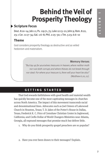# **Behind the Veil of Prosperity Theology**

# **Scripture Focus**

Deut. 8:10–14; Job 1:1; Ps. 119:71, 75; Luke 12:13–21; John 9; Rom. 8:22, 23; 1 Cor. 11:17–34; Gal. 1:6–8; Phil. 2:25–30; 1 Tim. 5:23; 6:6–10

### **Theme**

God considers prosperity theology as destructive and as veiled hedonism and materialism.

#### Memory Verses

"But lay up for yourselves treasures in heaven, where neither moth nor rust doth corrupt, and where thieves do not break through nor steal: For where your treasure is, there will your heart be also" (Matthew 6:20, 21).

## **GETTING STARTED**

That God rewards faithfulness with good health and material wealth has quickly become one of the most captivating messages in churches across North America. The impact of this movement transcends racial and denominational lines. Advocates such as Joel Osteen of Lakewood Church in Houston, Texas; T. D. Jakes of the Potter's House in Dallas, Texas; Frederick K. C. Price of Crenshaw Christian Center in Inglewood, California; and Creflo Dollar of World Changers Ministries near Atlanta, Georgia, all expound messages that promise much but deliver little.

- 1. Why do you think prosperity-gospel preachers are so popular?
- 2. Have you ever been drawn to their messages? Explain.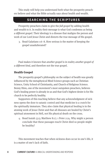This study will help you understand both what the prosperity preachers believe and what the Bible actually says about health and wealth.

### **SEARCHING THE SCRIPTURES**

Prosperity preachers claim to give the *full gospel* by adding health and wealth to it. In reality their message is what God condemns as being *a different gospel*. Their ideology is a disease that maligns the person and work of our Lord Jesus Christ and distorts the true message of His gospel.

3. Read Galatians 1:6–8. How serious is the matter of keeping the gospel unadulterated?

Paul makes it known that *another gospel* is in reality *another gospel of a different kind*, and therefore not the true gospel.

#### **Health Gospel**

The prosperity-gospel's philosophy on the subject of health was greatly influenced by the metaphysical Mind Science groups such as Christian Science, Unity School of Christianity, and Church of Religious Science. Benny Hinn, one of the movement's most outspoken preachers, believes God's healing power is already in us and that God's highest desire is for His church to be perfectly healthy.

Supporters of this teaching believe that any acknowledgment of sickness opens the door to satanic control and that medicine is a crutch for the spiritually immature. They also claim that physical healing is in the atoning work of Jesus Christ and that all diseases are healed by Christ's spiritual atonement in Hell, not His physical death on the cross.

4. Read Isaiah 53:5; Matthew 8:17; 1 Peter 2:24. Why might a person conclude that these passages teach Christ died so people might be healthy?

This movement teaches that when sickness does occur in one's life, it is a matter of one's lack of faith.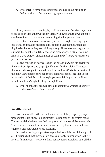5. What might a terminally ill person conclude about his faith in God according to the prosperity-gospel movement?

Closely connected to healing is *positive confession*. *Positive confession* is based on the idea that words have creative power and that what people say determines, to some extent, everything that happens to them.

In positive confession, success is generated by right thinking, right believing, and right confession. It is supposed that people are not getting healed because they are thinking wrong. Three reasons are given to support this conclusion: (1) sickness and disease are spiritual, not physical; (2) a true believer should never be sick; and (3) negative confession produces sickness.

Positive confession advocates use the phrase *and he is the saviour of the body* from Ephesians 5:23 as justification for their claim. They teach that our bodies ought to be made whole since Jesus Christ is the savior of the body. Christians receive healing by positively confessing that Christ is the savior of their body. So worrying or complaining about an illness forfeits a believer's right healing through Christ.

6. What might a sick believer conclude about Jesus when the believer's positive confession doesn't work?

#### **Wealth Gospel**

Economic wealth is the second major focus of the prosperity-gospel proponents. They apply God's promises to Abraham to the church today. They essentially believe that God has promised to make all believers rich. This wealth is initiated by faith, demonstrated by Christ's incarnational example, and activated by seed planting.

Prosperity-theology supporters argue that wealth is the divine right of all Christians but that the wealth is accessible only in proportion to their level of faith in God. A believer's faith connection to Abraham puts all the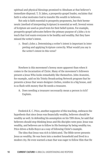spiritual and physical blessings promised to Abraham at that believer's immediate disposal. T. D. Jakes, a prosperity-gospel leader, exclaims that faith is what motivates God to transfer His wealth to believers.

Not only is faith essential to prosperity proponents, but their hermeneutic (method of interpreting Scripture) is essential as well. Several verses of Scripture are used as proof texts for their belief system. For example, prosperity-gospel advocates believe the primary purpose of 3 John 2 is to teach that God wants everyone to be healthy and wealthy. But they have missed the writer's intent.

7. Read 3 John 2. Determining a writer's intent is important in interpreting and applying Scripture correctly. What would you say is the writer's intent in this verse?

Nowhere is this movement's heresy more apparent than when it comes to the incarnation of Christ. Many of the movement's followers present a Jesus Who looks remarkably like themselves. John Avanzini, for example, said on his Trinity Broadcasting Network program that he presents a Jesus that wears designer clothes, resides in a big house, and is so flush with money that He needs a treasurer.

8. Does needing a treasurer necessarily mean a person is rich? Explain.

Frederick K. C. Price, another supporter of this teaching, embraces the hypothesis that since Jesus was financially wealthy, believers should be wealthy as well. In defending his assumption on his TBN show, he said that believers should stop thinking Jesus and His disciples were poor. Jesus was wealthy, and believers are to follow in His footsteps by being wealthy too. Price drives a Rolls-Royce as a way of following Christ's example.

The idea that Jesus was rich is fabricated. The Bible never presents Jesus as wealthy. He was born into a modest household and lived in a modest city. He even warned a man that was eager to follow Him that He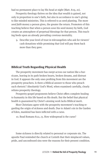had no permanent place to lay His head at night (Matt. 8:19, 20).

Prosperity theology thrives on the idea that wealth is gained, not only in proportion to one's faith, but also in accordance to one's giving to like-minded ministries. This is referred to as seed planting. The more *seed faith* money a person gives, the greater the return. Promoters of this teaching believe that when a person *sows* his seed money by faith, God creates an atmosphere of perpetual blessings for that person. This teaching feeds upon an already prevailing covetous mentality.

9. Describe your level of trust in televangelists who ask for viewers' cash donations while promising that God will pay them back more than they gave.

#### **Biblical Truth Regarding Physical Health**

The prosperity movement has swept across our nation like a hurricane, leaving in its path broken hearts, broken dreams, and distrust in God. It appears the only ones profiting from this movement are the prosperity preachers. Is there a Biblical answer to those who preach such rhetoric? Absolutely! God's Word, when examined carefully, clearly refutes prosperity theology.

Prosperity-gospel proponents believe Christ offers complete healing to humanity in this life based on His death. But the belief that physical health is guaranteed by Christ's atoning work lacks Biblical merit.

Most Christians agree with the prosperity movement's teaching regarding the origin of sickness and death. Due to Adam's sin in the Garden of Eden, mankind has been inflicted with a curse.

10. Read Romans 8:22, 23. How widespread is the curse?

Some sickness is directly related to personal or corporate sin. The apostle Paul reminded the church at Corinth that their misplaced values, pride, and unconfessed sins were the reasons for their present condition.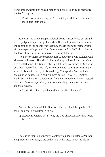Some of the Corinthians had a flippant, self-centered attitude regarding the Lord's Supper.

11. Read 1 Corinthians 11:29, 30. To what degree did the Corinthians' sins affect their bodies?

Attending the Lord's Supper fellowship with unconfessed sin brought severe judgment upon the guilty parties. God's solution to the demoralizing condition of the people was that they should examine themselves for sin before partaking (11:28). The alternative would be God's discipline in the form of sickness and perhaps even physical death.

The Bible contains several references to godly men who suffered with sickness or diseases. This should be a wake-up call to all who claim it is God's will that no Christian ever be sick. Job, who is affirmed by Scripture as a great man of faith (Job 1:1), was covered with painful sores from the soles of his feet to the top of his head (2:7). The apostle Paul reminded the Galatian believers of a bodily illness he had (Gal. 4:13). Timothy, Paul's son in the faith, suffered from frequent stomach problems. Instead of telling Timothy to *positively confess* his healing, Paul gave him some practical advice.

12. Read 1 Timothy 5:23. What did Paul tell Timothy to do?

Paul left Trophimus sick in Miletus (2 Tim. 4:20), while Epaphroditus fell ill and nearly died (Phil. 2:25–30).

13. Read Philippians 2:25–27. Why did God allow Epaphroditus to get better?

There is no mention of positive confession in Paul's letter to Philippi. Epaphroditus, however, is praised for his willingness to put his life in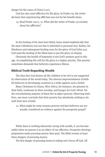danger for the cause of Christ (2:30).

God has also used affliction for His glory. In Psalm 119, the writer declares that experiencing affliction was not for his benefit alone.

In the healing of the man born blind, Jesus stated emphatically that the man's blindness was not due to inherited or personal sins. Rather, his blindness and subsequent healing were for the glory of God (John 9:3). God used the healing of the blind man to put His glory on display.

Obviously the health of humanity is not God's primary goal in this age. Accomplishing His will for His glory is a higher priority. This priority sometimes demands that believers experience illness.

#### **Biblical Truth Regarding Wealth**

The idea that God desires all His children to be rich is not supported by observation of the world today. The obvious impoverishment of faithful believers in developing countries is a strike against such a belief.

Many Christians in Ghana, West Africa, for instance, are genuine in their faith, exuberant in their worship, and hungry for God's Word. Yet the overwhelming majority of them live in abject poverty. Observing their lives, one must conclude that their poverty has absolutely nothing to do with their lack of faith.

15. What might be some reasons poverty-stricken believers are not usually considered as evidence against the prosperity gospel?

While there is nothing inherently wrong with wealth, it can become sinful when we pursue it as an object of our affection. Prosperity theology proponents make pursuing money their goal. The Bible reveals at least three dangers of pursuing money.

The first danger of pursuing money is taking one's focus off God. All

<sup>14.</sup> Read Psalm 119:71, 75. What did the writer of Psalm 119 exclaim about his affliction?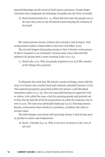material blessings are the result of God's mercy and grace. People forget God when they emphasize the blessings of wealth over the Giver of wealth.

16. Read Deuteronomy 8:10–14. What did God warn His people not to do once they were in the Promised Land enjoying the richness of the land?

We cannot pursue money without also serving it and loving it. And loving money makes it impossible to also love God (Matt. 6:24).

The second danger of pursuing money is that it breeds covetousness. In direct response to an extremely covetous man, Jesus educated His audience by giving them a stern warning (Luke 12:13–15).

17. Read Luke 12:15. Why are people tempted to act as if life consists of the things they possess?

To illustrate the truth that life doesn't consist of things, Jesus told the story of a farmer who worked hard and realized a plentiful harvest (12:16). This material prosperity generated within the farmer a self-absorbed, insensitive spirit (12:17–19). The rich man died having no regard for God or others. God called the man a fool for pursuing goods and pointed out to him that he had left of all his possessions on earth for someone else to own (12:20). The man was spiritually bankrupt (12:21). Pursuing money breeds covetousness that results in a pointless, worthless life with no eternal value.

The third danger associated with pursuing money is that loving money produces snares and temptations.

18. Read 1 Timothy 6:9, 10. Why is the love of money at the root of all evil?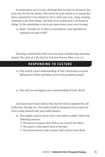As shoots grow out of a root, all things that are bad or evil may in fact grow out of a love for money. This desire for more money is so strong that those captured by it are tempted to sin in other ways (e.g., lying, stealing, cheating) to get more things. And there is no satisfaction to be found in things. So the temptations to sin to get more money grow even stronger.

19. Read 1 Timothy 6:6–8. Why is contentment a key ingredient in realizing true gain in life?

Pursuing a relationship with God is far more valuable than pursuing money. The value of a life lived for God lasts forever (Matt. 6:19–21).

### **RESPONDING TO CULTURE**

20. Why would a good understanding of God's Word keep you from falling prey to false teachings such as the prosperity gospel?

21. How will you strengthen your understanding of God's Word?

God wants you to have faith in Him that He will accomplish His will in His time through you. Your faith would be misplaced if you expected God to align Himself with your selfish desires.

- 22. How might a person know if his or her faith is selfish? Add to the following answers.
	- The person's prayers show little or no concern for others.
	- The person is discontent most of the time.
	- The person doesn't seek to know God's will in God's Word.